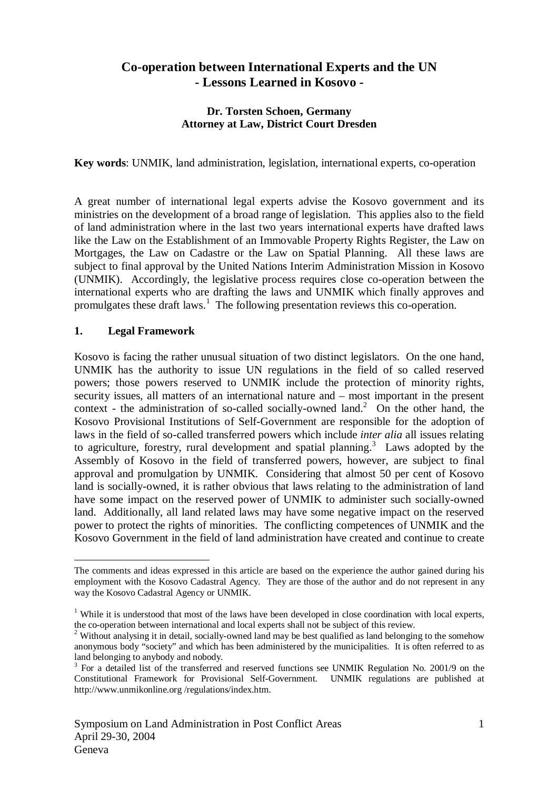# **Co-operation between International Experts and the UN - Lessons Learned in Kosovo -**

## **Dr. Torsten Schoen, Germany Attorney at Law, District Court Dresden**

**Key words**: UNMIK, land administration, legislation, international experts, co-operation

A great number of international legal experts advise the Kosovo government and its ministries on the development of a broad range of legislation. This applies also to the field of land administration where in the last two years international experts have drafted laws like the Law on the Establishment of an Immovable Property Rights Register, the Law on Mortgages, the Law on Cadastre or the Law on Spatial Planning. All these laws are subject to final approval by the United Nations Interim Administration Mission in Kosovo (UNMIK). Accordingly, the legislative process requires close co-operation between the international experts who are drafting the laws and UNMIK which finally approves and promulgates these draft laws.<sup>1</sup> The following presentation reviews this co-operation.

## **1. Legal Framework**

 $\overline{a}$ 

Kosovo is facing the rather unusual situation of two distinct legislators. On the one hand, UNMIK has the authority to issue UN regulations in the field of so called reserved powers; those powers reserved to UNMIK include the protection of minority rights, security issues, all matters of an international nature and – most important in the present context - the administration of so-called socially-owned land.<sup>2</sup> On the other hand, the Kosovo Provisional Institutions of Self-Government are responsible for the adoption of laws in the field of so-called transferred powers which include *inter alia* all issues relating to agriculture, forestry, rural development and spatial planning.<sup>3</sup> Laws adopted by the Assembly of Kosovo in the field of transferred powers, however, are subject to final approval and promulgation by UNMIK. Considering that almost 50 per cent of Kosovo land is socially-owned, it is rather obvious that laws relating to the administration of land have some impact on the reserved power of UNMIK to administer such socially-owned land. Additionally, all land related laws may have some negative impact on the reserved power to protect the rights of minorities. The conflicting competences of UNMIK and the Kosovo Government in the field of land administration have created and continue to create

The comments and ideas expressed in this article are based on the experience the author gained during his employment with the Kosovo Cadastral Agency. They are those of the author and do not represent in any way the Kosovo Cadastral Agency or UNMIK.

<sup>&</sup>lt;sup>1</sup> While it is understood that most of the laws have been developed in close coordination with local experts, the co-operation between international and local experts shall not be subject of this review.

<sup>&</sup>lt;sup>2</sup> Without analysing it in detail, socially-owned land may be best qualified as land belonging to the somehow anonymous body "society" and which has been administered by the municipalities. It is often referred to as land belonging to anybody and nobody.

<sup>3</sup> For a detailed list of the transferred and reserved functions see UNMIK Regulation No. 2001/9 on the Constitutional Framework for Provisional Self-Government. UNMIK regulations are published at http://www.unmikonline.org /regulations/index.htm.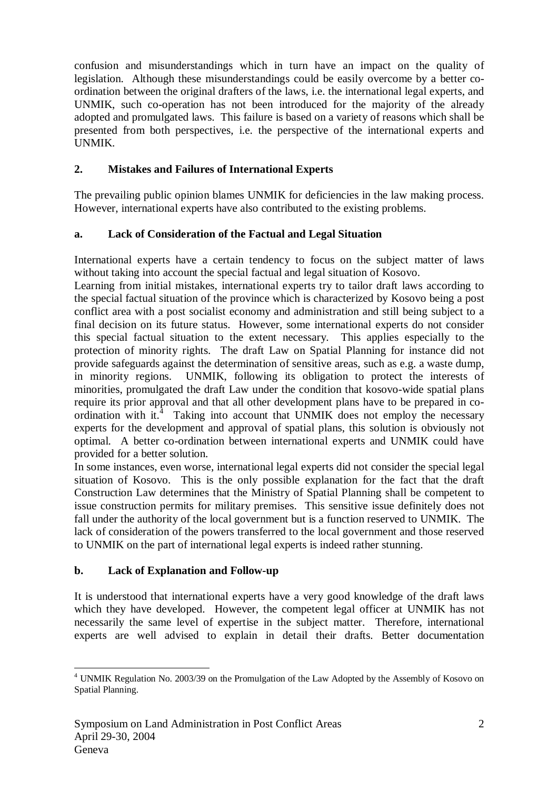confusion and misunderstandings which in turn have an impact on the quality of legislation. Although these misunderstandings could be easily overcome by a better coordination between the original drafters of the laws, i.e. the international legal experts, and UNMIK, such co-operation has not been introduced for the majority of the already adopted and promulgated laws. This failure is based on a variety of reasons which shall be presented from both perspectives, i.e. the perspective of the international experts and UNMIK.

# **2. Mistakes and Failures of International Experts**

The prevailing public opinion blames UNMIK for deficiencies in the law making process. However, international experts have also contributed to the existing problems.

## **a. Lack of Consideration of the Factual and Legal Situation**

International experts have a certain tendency to focus on the subject matter of laws without taking into account the special factual and legal situation of Kosovo.

Learning from initial mistakes, international experts try to tailor draft laws according to the special factual situation of the province which is characterized by Kosovo being a post conflict area with a post socialist economy and administration and still being subject to a final decision on its future status. However, some international experts do not consider this special factual situation to the extent necessary. This applies especially to the protection of minority rights. The draft Law on Spatial Planning for instance did not provide safeguards against the determination of sensitive areas, such as e.g. a waste dump, in minority regions. UNMIK, following its obligation to protect the interests of minorities, promulgated the draft Law under the condition that kosovo-wide spatial plans require its prior approval and that all other development plans have to be prepared in coordination with it.<sup>4</sup> Taking into account that UNMIK does not employ the necessary experts for the development and approval of spatial plans, this solution is obviously not optimal. A better co-ordination between international experts and UNMIK could have provided for a better solution.

In some instances, even worse, international legal experts did not consider the special legal situation of Kosovo. This is the only possible explanation for the fact that the draft Construction Law determines that the Ministry of Spatial Planning shall be competent to issue construction permits for military premises. This sensitive issue definitely does not fall under the authority of the local government but is a function reserved to UNMIK. The lack of consideration of the powers transferred to the local government and those reserved to UNMIK on the part of international legal experts is indeed rather stunning.

# **b. Lack of Explanation and Follow-up**

It is understood that international experts have a very good knowledge of the draft laws which they have developed. However, the competent legal officer at UNMIK has not necessarily the same level of expertise in the subject matter. Therefore, international experts are well advised to explain in detail their drafts. Better documentation

 4 UNMIK Regulation No. 2003/39 on the Promulgation of the Law Adopted by the Assembly of Kosovo on Spatial Planning.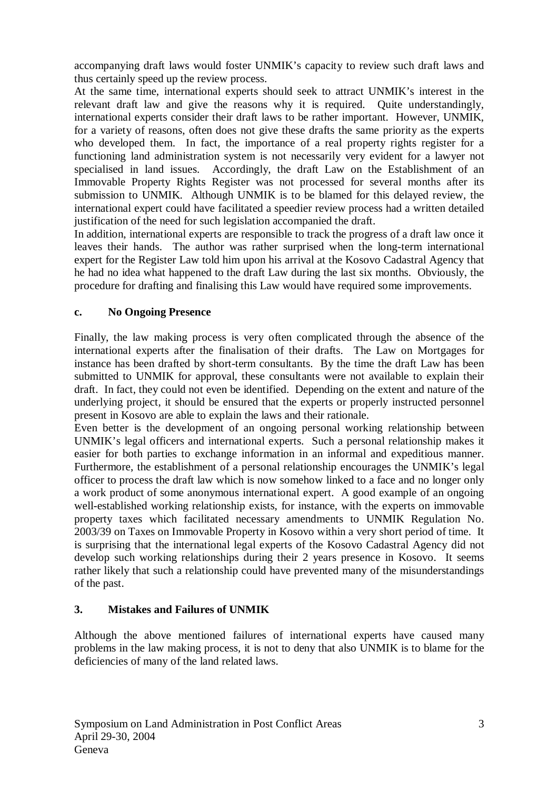accompanying draft laws would foster UNMIK's capacity to review such draft laws and thus certainly speed up the review process.

At the same time, international experts should seek to attract UNMIK's interest in the relevant draft law and give the reasons why it is required. Quite understandingly, international experts consider their draft laws to be rather important. However, UNMIK, for a variety of reasons, often does not give these drafts the same priority as the experts who developed them. In fact, the importance of a real property rights register for a functioning land administration system is not necessarily very evident for a lawyer not specialised in land issues. Accordingly, the draft Law on the Establishment of an Immovable Property Rights Register was not processed for several months after its submission to UNMIK. Although UNMIK is to be blamed for this delayed review, the international expert could have facilitated a speedier review process had a written detailed justification of the need for such legislation accompanied the draft.

In addition, international experts are responsible to track the progress of a draft law once it leaves their hands. The author was rather surprised when the long-term international expert for the Register Law told him upon his arrival at the Kosovo Cadastral Agency that he had no idea what happened to the draft Law during the last six months. Obviously, the procedure for drafting and finalising this Law would have required some improvements.

## **c. No Ongoing Presence**

Finally, the law making process is very often complicated through the absence of the international experts after the finalisation of their drafts. The Law on Mortgages for instance has been drafted by short-term consultants. By the time the draft Law has been submitted to UNMIK for approval, these consultants were not available to explain their draft. In fact, they could not even be identified. Depending on the extent and nature of the underlying project, it should be ensured that the experts or properly instructed personnel present in Kosovo are able to explain the laws and their rationale.

Even better is the development of an ongoing personal working relationship between UNMIK's legal officers and international experts. Such a personal relationship makes it easier for both parties to exchange information in an informal and expeditious manner. Furthermore, the establishment of a personal relationship encourages the UNMIK's legal officer to process the draft law which is now somehow linked to a face and no longer only a work product of some anonymous international expert. A good example of an ongoing well-established working relationship exists, for instance, with the experts on immovable property taxes which facilitated necessary amendments to UNMIK Regulation No. 2003/39 on Taxes on Immovable Property in Kosovo within a very short period of time. It is surprising that the international legal experts of the Kosovo Cadastral Agency did not develop such working relationships during their 2 years presence in Kosovo. It seems rather likely that such a relationship could have prevented many of the misunderstandings of the past.

## **3. Mistakes and Failures of UNMIK**

Although the above mentioned failures of international experts have caused many problems in the law making process, it is not to deny that also UNMIK is to blame for the deficiencies of many of the land related laws.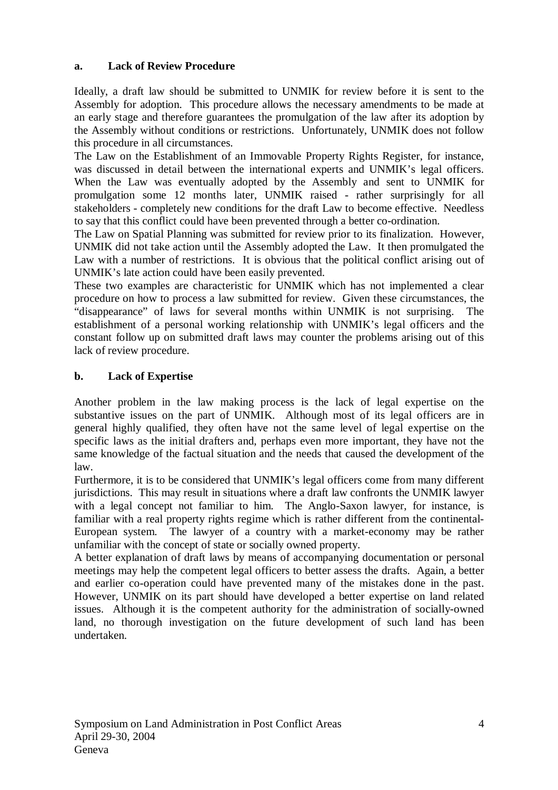# **a. Lack of Review Procedure**

Ideally, a draft law should be submitted to UNMIK for review before it is sent to the Assembly for adoption. This procedure allows the necessary amendments to be made at an early stage and therefore guarantees the promulgation of the law after its adoption by the Assembly without conditions or restrictions. Unfortunately, UNMIK does not follow this procedure in all circumstances.

The Law on the Establishment of an Immovable Property Rights Register, for instance, was discussed in detail between the international experts and UNMIK's legal officers. When the Law was eventually adopted by the Assembly and sent to UNMIK for promulgation some 12 months later, UNMIK raised - rather surprisingly for all stakeholders - completely new conditions for the draft Law to become effective. Needless to say that this conflict could have been prevented through a better co-ordination.

The Law on Spatial Planning was submitted for review prior to its finalization. However, UNMIK did not take action until the Assembly adopted the Law. It then promulgated the Law with a number of restrictions. It is obvious that the political conflict arising out of UNMIK's late action could have been easily prevented.

These two examples are characteristic for UNMIK which has not implemented a clear procedure on how to process a law submitted for review. Given these circumstances, the "disappearance" of laws for several months within UNMIK is not surprising. The establishment of a personal working relationship with UNMIK's legal officers and the constant follow up on submitted draft laws may counter the problems arising out of this lack of review procedure.

## **b. Lack of Expertise**

Another problem in the law making process is the lack of legal expertise on the substantive issues on the part of UNMIK. Although most of its legal officers are in general highly qualified, they often have not the same level of legal expertise on the specific laws as the initial drafters and, perhaps even more important, they have not the same knowledge of the factual situation and the needs that caused the development of the law.

Furthermore, it is to be considered that UNMIK's legal officers come from many different jurisdictions. This may result in situations where a draft law confronts the UNMIK lawyer with a legal concept not familiar to him. The Anglo-Saxon lawyer, for instance, is familiar with a real property rights regime which is rather different from the continental-European system. The lawyer of a country with a market-economy may be rather unfamiliar with the concept of state or socially owned property.

A better explanation of draft laws by means of accompanying documentation or personal meetings may help the competent legal officers to better assess the drafts. Again, a better and earlier co-operation could have prevented many of the mistakes done in the past. However, UNMIK on its part should have developed a better expertise on land related issues. Although it is the competent authority for the administration of socially-owned land, no thorough investigation on the future development of such land has been undertaken.